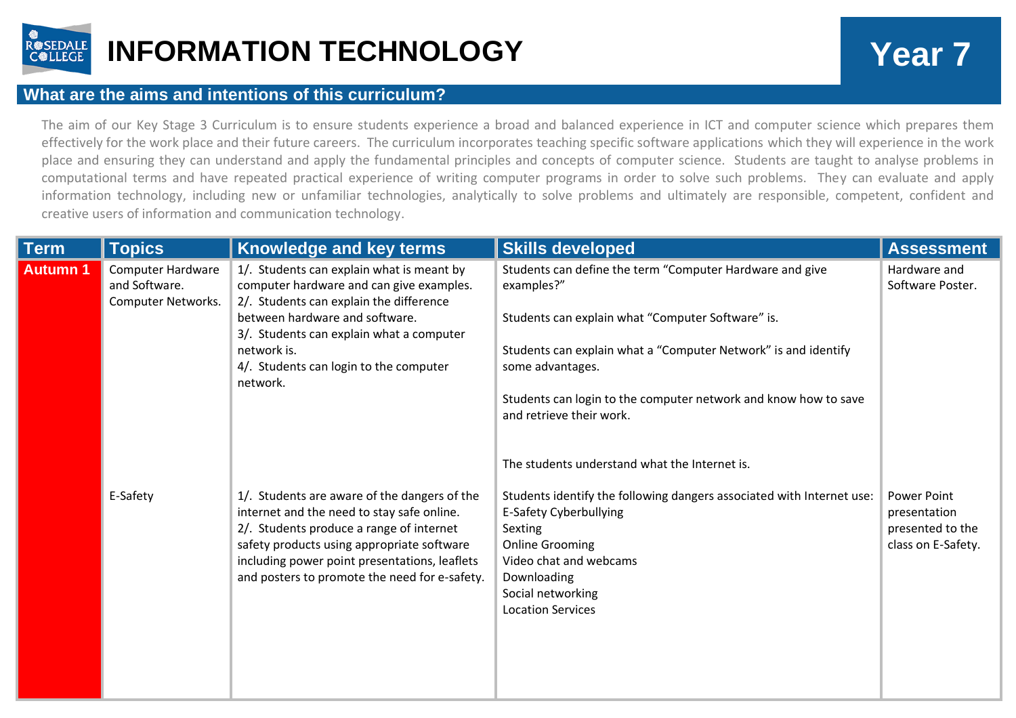

## **INFORMATION TECHNOLOGY Year 7**

## **What are the aims and intentions of this curriculum?**

The aim of our Key Stage 3 Curriculum is to ensure students experience a broad and balanced experience in ICT and computer science which prepares them effectively for the work place and their future careers. The curriculum incorporates teaching specific software applications which they will experience in the work place and ensuring they can understand and apply the fundamental principles and concepts of computer science. Students are taught to analyse problems in computational terms and have repeated practical experience of writing computer programs in order to solve such problems. They can evaluate and apply information technology, including new or unfamiliar technologies, analytically to solve problems and ultimately are responsible, competent, confident and creative users of information and communication technology.

| <b>Term</b>    | <b>Topics</b>                                                   | Knowledge and key terms                                                                                                                                                                                                                                                                | <b>Skills developed</b>                                                                                                                                                                                                                                                                                                                                           | <b>Assessment</b>                                                     |
|----------------|-----------------------------------------------------------------|----------------------------------------------------------------------------------------------------------------------------------------------------------------------------------------------------------------------------------------------------------------------------------------|-------------------------------------------------------------------------------------------------------------------------------------------------------------------------------------------------------------------------------------------------------------------------------------------------------------------------------------------------------------------|-----------------------------------------------------------------------|
| <b>Autumn1</b> | <b>Computer Hardware</b><br>and Software.<br>Computer Networks. | 1/. Students can explain what is meant by<br>computer hardware and can give examples.<br>2/. Students can explain the difference<br>between hardware and software.<br>3/. Students can explain what a computer<br>network is.<br>4/. Students can login to the computer<br>network.    | Students can define the term "Computer Hardware and give<br>examples?"<br>Students can explain what "Computer Software" is.<br>Students can explain what a "Computer Network" is and identify<br>some advantages.<br>Students can login to the computer network and know how to save<br>and retrieve their work.<br>The students understand what the Internet is. | Hardware and<br>Software Poster.                                      |
|                | E-Safety                                                        | 1/. Students are aware of the dangers of the<br>internet and the need to stay safe online.<br>2/. Students produce a range of internet<br>safety products using appropriate software<br>including power point presentations, leaflets<br>and posters to promote the need for e-safety. | Students identify the following dangers associated with Internet use:<br><b>E-Safety Cyberbullying</b><br>Sexting<br><b>Online Grooming</b><br>Video chat and webcams<br>Downloading<br>Social networking<br><b>Location Services</b>                                                                                                                             | Power Point<br>presentation<br>presented to the<br>class on E-Safety. |